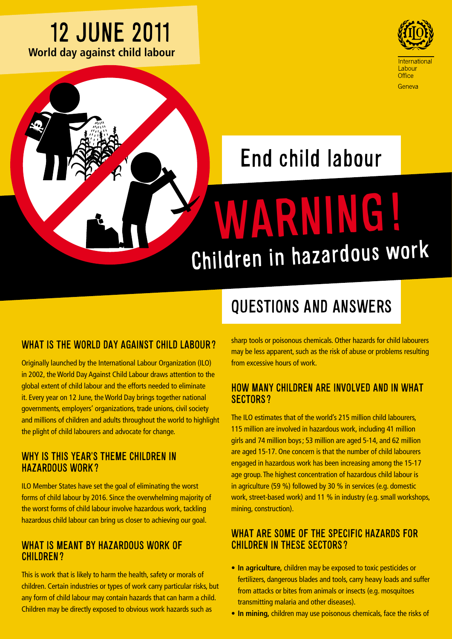### 12 JUNE 2011 **World day against child labour**



# End child labour

# WARNING! Children in hazardous wor<sup>k</sup>

#### WHAT IS THE WORLD DAY AGAINST CHILD LABOUR?

Originally launched by the International Labour Organization (ILO) in 2002, the World Day Against Child Labour draws attention to the global extent of child labour and the efforts needed to eliminate it. Every year on 12 June, the World Day brings together national governments, employers' organizations, trade unions, civil society and millions of children and adults throughout the world to highlight the plight of child labourers and advocate for change.

#### WHY IS THIS YEAR'S THEME CHILDREN IN Hazardous Work?

ILO Member States have set the goal of eliminating the worst forms of child labour by 2016. Since the overwhelming majority of the worst forms of child labour involve hazardous work, tackling hazardous child labour can bring us closer to achieving our goal.

#### WHAT IS MEANT BY HAZARDOUS WORK OF children?

This is work that is likely to harm the health, safety or morals of children. Certain industries or types of work carry particular risks, but any form of child labour may contain hazards that can harm a child. Children may be directly exposed to obvious work hazards such as

## QUESTIONS AND ANSWERS

sharp tools or poisonous chemicals. Other hazards for child labourers may be less apparent, such as the risk of abuse or problems resulting from excessive hours of work.

#### How many children are involved and in what sectors?

The ILO estimates that of the world's 215 million child labourers, 115 million are involved in hazardous work, including 41 million girls and 74 million boys; 53 million are aged 5-14, and 62 million are aged 15-17. One concern is that the number of child labourers engaged in hazardous work has been increasing among the 15-17 age group. The highest concentration of hazardous child labour is in agriculture (59 %) followed by 30 % in services (e.g. domestic work, street-based work) and 11 % in industry (e.g. small workshops, mining, construction).

#### WHAT ARE SOME OF THE SPECIFIC HAZARDS FOR children in these sectors?

- In agriculture, children may be exposed to toxic pesticides or fertilizers, dangerous blades and tools, carry heavy loads and suffer from attacks or bites from animals or insects (e.g. mosquitoes transmitting malaria and other diseases).
- In mining, children may use poisonous chemicals, face the risks of